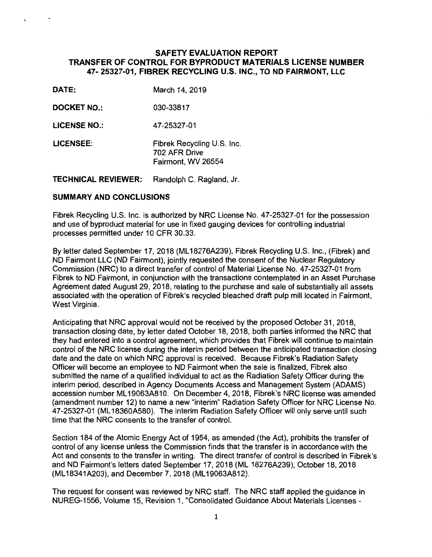## **SAFETY EVALUATION REPORT TRANSFER OF CONTROL FOR BYPRODUCT MATERIALS LICENSE NUMBER 47- 25327-01, FIBREK RECYCLING U.S. INC., TO ND FAIRMONT, LLC**

- **DATE:** March 14, 2019
- **DOCKET NO.:** 030-33817
- **LICENSE NO.:** 47-25327-01
- **LICENSEE:** Fibrek Recycling U.S. Inc. 702 AFR Drive Fairmont, WV 26554

**TECHNICAL REVIEWER:** Randolph C. Ragland, Jr.

#### **SUMMARY AND CONCLUSIONS**

Fibrek Recycling U.S. Inc. is authorized by NRC License No. 47-25327-01 for the possession and use of byproduct material for use in fixed gauging devices for controlling industrial processes permitted under 10 CFR 30.33.

By letter dated September 17, 2018 (ML 18276A239), Fibrek Recycling U.S. Inc., (Fibrek) and ND Fairmont LLC (ND Fairmont), jointly requested the consent of the Nuclear Regulatory Commission (NRC) to a direct transfer of control of Material License No. 47-25327-01 from Fibrek to ND Fairmont, in conjunction with the transactions contemplated in an Asset Purchase Agreement dated August 29, 2018, relating to the purchase and sale of substantially all assets associated with the operation of Fibrek's recycled bleached draft pulp mill located in Fairmont, West Virginia.

Anticipating that NRC approval would not be received by the proposed October 31, 2018, transaction closing date, by letter dated October 18, 2018, both parties informed the NRC that they had entered into a control agreement, which provides that Fibrek will continue to maintain control of the NRC license during the interim period between the anticipated transaction closing date and the date on which NRC approval is received. Because Fibrek's Radiation Safety Officer will become an employee to ND Fairmont when the sale is finalized, Fibrek also submitted the name of a qualified individual to act as the Radiation Safety Officer during the interim period, described in Agency Documents Access and Management System (ADAMS) accession number ML 19063A810. On December 4, 2018, Fibrek's NRC license was amended (amendment number 12) to name a new "interim" Radiation Safety Officer for NRC License No. 47-25327-01 (ML 18360A580). The interim Radiation Safety Officer will only serve until such time that the NRC consents to the transfer of control.

Section 184 of the Atomic Energy Act of 1954, as amended (the Act), prohibits the transfer of control of any license unless the Commission finds that the transfer is in accordance with the Act and consents to the transfer in writing. The direct transfer of control is described in Fibrek's and ND Fairmont's letters dated September 17, 2018 (ML 18276A239), October 18, 2018 (ML 18341A203), and December 7, 2018 (ML 19063A812).

The request for consent was reviewed by NRC staff. The NRC staff applied the guidance in NUREG-1556, Volume 15, Revision 1, "Consolidated Guidance About Materials Licenses -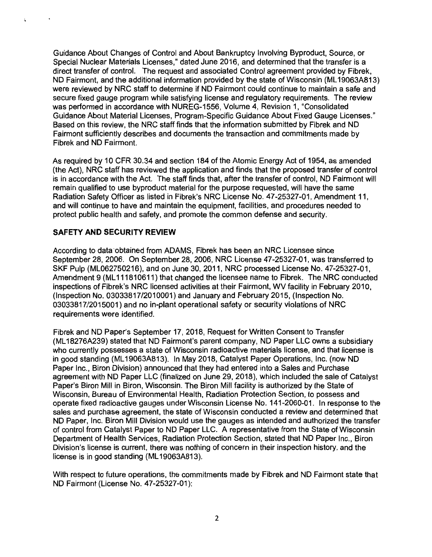Guidance About Changes of Control and About Bankruptcy Involving Byproduct, Source, or Special Nuclear Materials Licenses," dated June 2016, and determined that the transfer is a direct transfer of control. The request and associated Control agreement provided by Fibrek, ND Fairmont, and the additional information provided by the state of Wisconsin (ML 19063A813) were reviewed by NRC staff to determine if ND Fairmont could continue to maintain a safe and secure fixed gauge program while satisfying license and regulatory requirements. The review was performed in accordance with NUREG-1556, Volume 4, Revision 1, "Consolidated Guidance About Material Licenses, Program-Specific Guidance About Fixed Gauge Licenses." Based on this review, the NRC staff finds that the information submitted by Fibrek and ND Fairmont sufficiently describes and documents the transaction and commitments made by Fibrek and ND Fairmont.

As required by 10 CFR 30.34 and section 184 of the Atomic Energy Act of 1954, as amended (the Act), NRC staff has reviewed the application and finds that the proposed transfer of control is in accordance with the Act. The staff finds that, after the transfer of control, ND Fairmont will remain qualified to use byproduct material for the purpose requested, will have the same Radiation Safety Officer as listed in Fibrek's NRC License No. 47-25327-01, Amendment 11, and will continue to have and maintain the equipment, facilities, and procedures needed to protect public health and safety, and promote the common defense and security.

## **SAFETY AND SECURITY REVIEW**

According to data·obtained from ADAMS, Fibrek has been an NRC Licensee since September 28, 2006. On September 28, 2006, NRC License 47-25327-01, was transferred to SKF Pulp (ML062750216), and on June 30, 2011, NRC processed License No. 47-25327-01, Amendment 9 (ML 111810611) that changed the licensee name to Fibrek. The NRC conducted inspections of Fibrek's NRC licensed activities at their Fairmont, WV facility in February 2010, (Inspection No. 03033817/2010001) and January and February 2015, (Inspection No. 03033817/2015001) and no in-plant operational safety or security violations of NRC requirements were identified.

Fibrek and ND Paper's September 17, 2018, Request for Written Consent to Transfer (ML 18276A239) stated that ND Fairmont's parent company, ND Paper LLC owns a subsidiary who currently possesses a state of Wisconsin radioactive materials license, and that license is in good standing (ML 19063A813). In May 2018, Catalyst Paper Operations, Inc. (now ND Paper Inc., Biron Division) announced that they had entered into a Sales and Purchase agreement with ND Paper LLC (finalized on June 29, 2018), which included the sale of Catalyst Paper's Biron Mill in Biron, Wisconsin. The Biron Mill facility is authorized by the State of Wisconsin, Bureau of Environmental Health, Radiation Protection Section, to possess and operate fixed radioactive gauges under Wisconsin License No. 141-2060-01. In response to the sales and purchase agreement, the state of Wisconsin conducted a review and determined that ND Paper, Inc. Biron Mill Division would use the gauges as intended and authorized the transfer of control from Catalyst Paper to ND Paper LLC. A representative from the State of Wisconsin Department of Health Services, Radiation Protection Section, stated that ND Paper Inc., Biron Division's license is current, there was nothing of concern in their inspection history, and the license is in good standing (ML 19063A813).

With respect to future operations, the commitments made by Fibrek and ND Fairmont state that ND Fairmont (License No. 47-25327-01):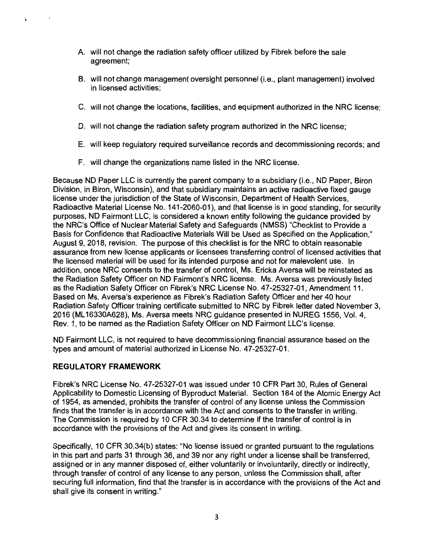- A. will not change the radiation safety officer utilized by Fibrek before the sale agreement;
- B. will not change management oversight personnel (i.e., plant management) involved in licensed activities;
- C. will not change the locations, facilities, and equipment authorized in the NRC license;
- D. will not change the radiation safety program authorized in the NRC license;
- E. will keep regulatory required surveillance records and decommissioning records; and
- F. will change the organizations name listed in the NRC license.

Because ND Paper LLC is currently the parent company to a subsidiary (i.e., ND Paper, Biron Division, in Biron, Wisconsin), and that subsidiary maintains an active radioactive fixed gauge license under the jurisdiction of the State of Wisconsin, Department of Health Services, Radioactive Material License No. 141-2060-01 ), and that license is in good standing, for security purposes, ND Fairmont LLC, is considered a known entity following the guidance provided by the NRC's Office of Nuclear Material Safety and Safeguards (NMSS) "Checklist to Provide a Basis for Confidence that Radioactive Materials Will be Used as Specified on the Application," August 9, 2018, revision. The purpose of this checklist is for the NRC to obtain reasonable assurance from new license applicants or licensees transferring control of licensed activities that the licensed material will be used for its intended purpose and not for malevolent use. In addition, once NRC consents to the transfer of control, Ms. Ericka Aversa will be reinstated as the Radiation Safety Officer on ND Fairmont's NRC license. Ms. Aversa was previously listed as the Radiation Safety Officer on Fibrek's NRC License No. 47-25327-01, Amendment 11. Based on Ms. Aversa's experience as Fibrek's Radiation Safety Officer and her 40 hour Radiation Safety Officer training certificate submitted to NRC by Fibrek letter dated November 3, 2016 (ML 16330A628), Ms. Aversa meets NRC guidance presented in NUREG 1556, Vol. 4, Rev. 1, to be named as the Radiation Safety Officer on ND Fairmont LLC's license.

ND Fairmont LLC, is not required to have decommissioning financial assurance based on the types and amount of material authorized in License No. 47-25327-01.

# **REGULATORY FRAMEWORK**

Fibrek's NRC License No. 47-25327-01 was issued under 10 CFR Part 30, Rules of General Applicability to Domestic Licensing of Byproduct Material. Section 184 of the Atomic Energy Act of 1954, as amended, prohibits the transfer of control of any license unless the Commission finds that the transfer is in accordance with the Act and consents to the transfer in writing. The Commission is required by 10 CFR 30.34 to determine if the transfer of control is in accordance with the provisions of the Act and gives its consent in writing.

Specifically, 10 CFR 30.34(b) states: "No license issued or granted pursuant to the regulations in this part and parts 31 through 36, and 39 nor any right under a license shall be transferred, assigned or in any manner disposed of, either voluntarily or involuntarily, directly or indirectly, through transfer of control of any license to any person, unless the Commission shall, after securing full information, find that the transfer is in accordance with the provisions of the Act and shall give its consent in writing."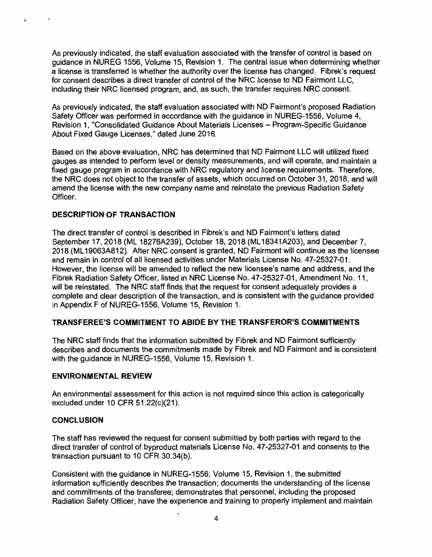As previously indicated, the staff evaluation associated with the transfer of control is based on guidance in NUREG 1556, Volume 15, Revision 1. The central issue when determining whether a license is transferred is whether the authority over the license has changed. Fibrek's request for consent describes a direct transfer of control of the NRC license to ND Fairmont LLC, including their NRC licensed program, and, as such, the transfer requires NRC consent.

As previously indicated, the staff evaluation associated with ND Fairmont's proposed Radiation Safety Officer was performed in accordance with the guidance in NUREG-1556, Volume 4, Revision 1, "Consolidated Guidance About Materials Licenses - Program-Specific Guidance About Fixed Gauge Licenses," dated June 2016.

Based on the above evaluation, NRC has determined that ND Fairmont LLC will utilized fixed gauges as intended to perform level or density measurements, and will operate, and maintain a fixed gauge program in accordance with NRC regulatory and license requirements. Therefore, the NRC does not object to the transfer of assets, which occurred on October 31, 2018, and will amend the license with the new company name and reinstate the previous Radiation Safety Officer.

### **DESCRIPTION OF TRANSACTION**

 $\ddot{\phantom{a}}$ 

The direct transfer of control is described in Fibrek's and ND Fairmont's letters dated September 17, 2018 (ML 18276A239), October 18, 2018 (ML 18341A203), and December 7, 2018 (ML 19063A812). After NRC consent is granted, ND Fairmont will continue as the licensee and remain in control of all licensed activities under Materials License No. 47-25327-01. However, the license will be amended to reflect the new licensee's name and address, and the Fibrek Radiation Safety Officer, listed in NRC License No. 47-25327-01, Amendment No. 11, will be reinstated. The NRC staff finds that the request for consent adequately provides a complete and clear description of the transaction, and is consistent with the guidance provided in Appendix F of NUREG-1556, Volume 15, Revision 1.

#### **TRANSFEREE'S COMMITMENT TO ABIDE BY THE TRANSFEROR'S COMMITMENTS**

The NRC staff finds that the information submitted by Fibrek and ND Fairmont sufficiently describes and documents the commitments made by Fibrek and ND Fairmont and is consistent with the guidance in NUREG-1556, Volume 15, Revision 1.

#### **ENVIRONMENTAL REVIEW**

An environmental assessment for this action is not required since this action is categorically excluded under 10 CFR 51.22(c){21 ).

#### **CONCLUSION**

The staff has reviewed the request for consent submitted by both parties with regard to the direct transfer of control of byproduct materials License No. 47-25327-01 and consents to the transaction pursuant to 10 CFR 30.34(b).

Consistent with the guidance in NUREG-1556, Volume 15, Revision 1, the submitted information sufficiently describes the transaction; documents the understanding of the license and commitments of the transferee; demonstrates that personnel, including the proposed Radiation Safety Officer, have the experience and training to properly implement and maintain